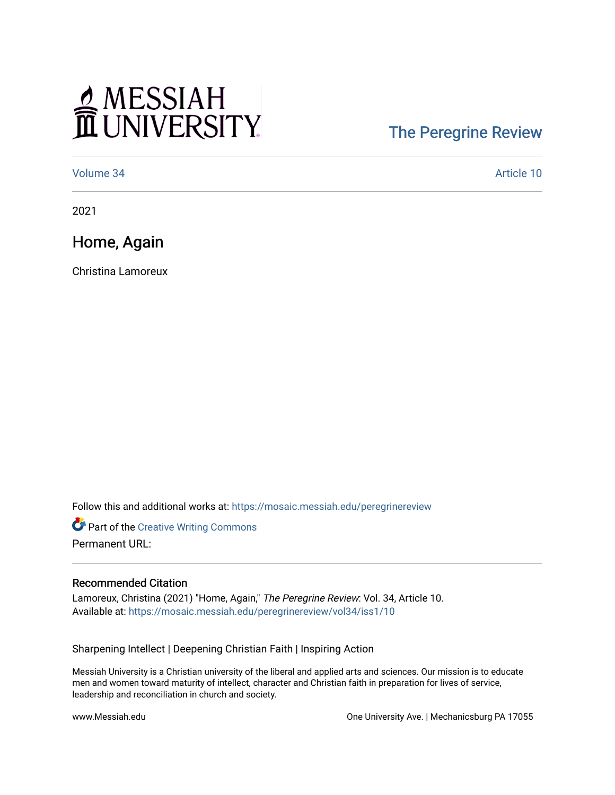## MESSIAH

## [The Peregrine Review](https://mosaic.messiah.edu/peregrinereview)

[Volume 34](https://mosaic.messiah.edu/peregrinereview/vol34) Article 10

2021

Home, Again

Christina Lamoreux

Follow this and additional works at: [https://mosaic.messiah.edu/peregrinereview](https://mosaic.messiah.edu/peregrinereview?utm_source=mosaic.messiah.edu%2Fperegrinereview%2Fvol34%2Fiss1%2F10&utm_medium=PDF&utm_campaign=PDFCoverPages) 

**Part of the Creative Writing Commons** Permanent URL:

## Recommended Citation

Lamoreux, Christina (2021) "Home, Again," The Peregrine Review: Vol. 34, Article 10. Available at: [https://mosaic.messiah.edu/peregrinereview/vol34/iss1/10](https://mosaic.messiah.edu/peregrinereview/vol34/iss1/10?utm_source=mosaic.messiah.edu%2Fperegrinereview%2Fvol34%2Fiss1%2F10&utm_medium=PDF&utm_campaign=PDFCoverPages)

Sharpening Intellect | Deepening Christian Faith | Inspiring Action

Messiah University is a Christian university of the liberal and applied arts and sciences. Our mission is to educate men and women toward maturity of intellect, character and Christian faith in preparation for lives of service, leadership and reconciliation in church and society.

www.Messiah.edu **One University Ave. | Mechanicsburg PA 17055**